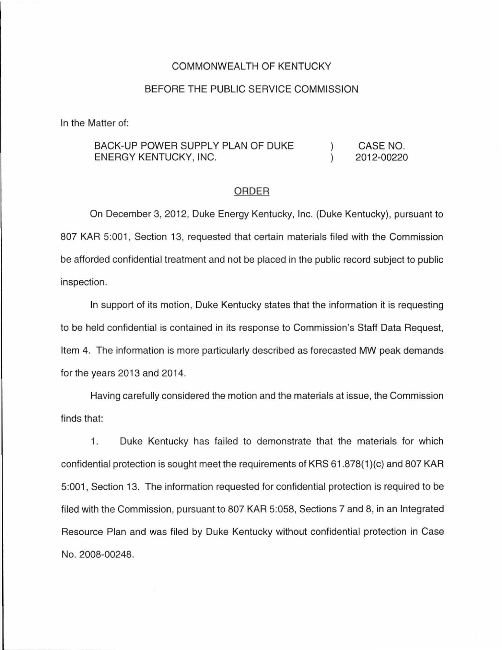## COMMONWEALTH OF KENTUCKY

## BEFORE THE PUBLIC SERVICE COMMISSION

In the Matter of:

## BACK-UP POWER SUPPLY PLAN OF DUKE CASE NO.  $\mathcal{L}$ ENERGY KENTUCKY, INC.  $\lambda$ 2012-00220

## ORDER

On December 3, 2012, Duke Energy Kentucky, Inc. (Duke Kentucky), pursuant to 807 KAR 5:001, Section 13, requested that certain materials filed with the Commission be afforded confidential treatment and not be placed in the public record subject to public inspection.

In support of its motion, Duke Kentucky states that the information it is requesting to be held confidential is contained in its response to Commission's Staff Data Request, Item 4. The information is more particularly described as forecasted MW peak demands for the years 2013 and 2014.

Having carefully considered the motion and the materials at issue, the Commission finds that:

1. Duke Kentucky has failed to demonstrate that the materials for which confidential protection is sought meet the requirements of KRS 61 .878(1 )(c) and 807 KAR 5:001, Section 13. The information requested for confidential protection is required to be filed with the Commission, pursuant to 807 KAR 5:058, Sections 7 and 8, in an Integrated Resource Plan and was filed by Duke Kentucky without confidential protection in Case No. 2008-00248.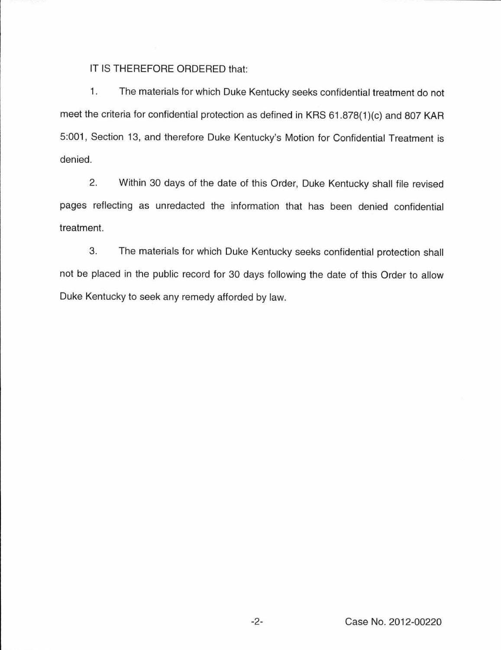IT IS THEREFORE ORDERED that:

1. The materials for which Duke Kentucky seeks confidential treatment do not meet the criteria for confidential protection as defined in KRS 61.878(1)(c) and 807 KAR 5:001, Section 13, and therefore Duke Kentucky's Motion for Confidential Treatment is denied.

2. Within 30 days of the date of this Order, Duke Kentucky shall file revised pages reflecting as unredacted the information that has been denied confidential treatment.

3. The materials for which Duke Kentucky seeks confidential protection shall not be placed in the public record for 30 days following the date of this Order to allow Duke Kentucky to seek any remedy afforded by law.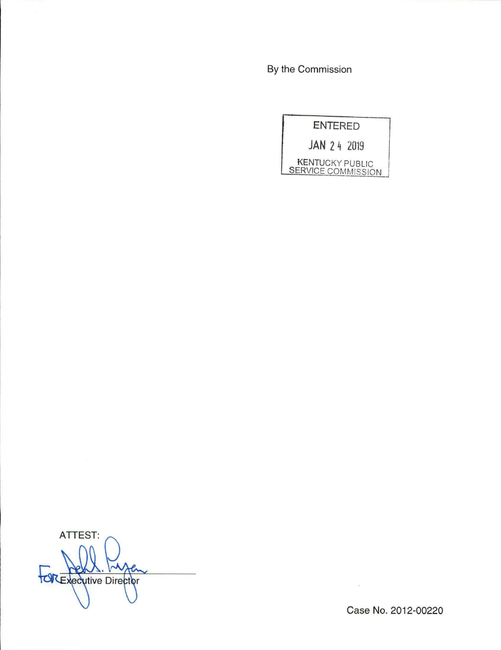By the Commission

ENTERED

**JAN** 2 4 2019

KENTUCKY PUBLIC SERVICE COMMISSION

ATTEST: **TORExecutive Director** 

Case No. 2012-00220

 $\sim$